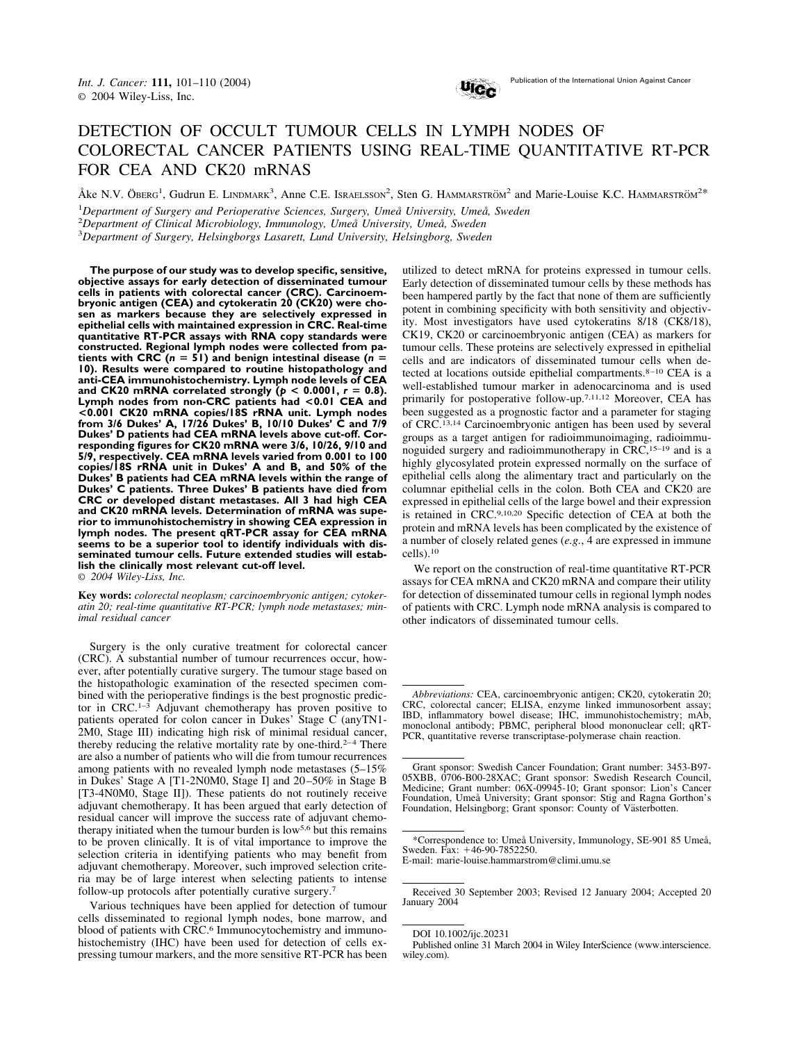

# DETECTION OF OCCULT TUMOUR CELLS IN LYMPH NODES OF COLORECTAL CANCER PATIENTS USING REAL-TIME QUANTITATIVE RT-PCR FOR CEA AND CK20 mRNAS

Åke N.V. ÖBERG<sup>1</sup>, Gudrun E. LINDMARK<sup>3</sup>, Anne C.E. Israelsson<sup>2</sup>, Sten G. HAMMARSTRÖM<sup>2</sup> and Marie-Louise K.C. HAMMARSTRÖM<sup>2\*</sup>

1 *Department of Surgery and Perioperative Sciences, Surgery, Umeå University, Umeå, Sweden*

2 *Department of Clinical Microbiology, Immunology, Umeå University, Umeå, Sweden*

3 *Department of Surgery, Helsingborgs Lasarett, Lund University, Helsingborg, Sweden*

**The purpose of our study was to develop specific, sensitive, objective assays for early detection of disseminated tumour cells in patients with colorectal cancer (CRC). Carcinoembryonic antigen (CEA) and cytokeratin 20 (CK20) were chosen as markers because they are selectively expressed in epithelial cells with maintained expression in CRC. Real-time quantitative RT-PCR assays with RNA copy standards were constructed. Regional lymph nodes were collected from pa-**<br>tients with CRC (n = 51) and benign intestinal disease (n = **tients with CRC (***<sup>n</sup>* **51) and benign intestinal disease (***<sup>n</sup>* **10). Results were compared to routine histopathology and anti-CEA immunohistochemistry. Lymph node levels of CEA** and CK20 mRNA correlated strongly  $(p < 0.0001, r = 0.8)$ . **Lymph nodes from non-CRC patients had <0.01 CEA and <0.001 CK20 mRNA copies/18S rRNA unit. Lymph nodes from 3/6 Dukes' A, 17/26 Dukes' B, 10/10 Dukes' C and 7/9 Dukes' D patients had CEA mRNA levels above cut-off. Corresponding figures for CK20 mRNA were 3/6, 10/26, 9/10 and 5/9, respectively. CEA mRNA levels varied from 0.001 to 100 copies/18S rRNA unit in Dukes' A and B, and 50% of the Dukes' B patients had CEA mRNA levels within the range of Dukes' C patients. Three Dukes' B patients have died from CRC or developed distant metastases. All 3 had high CEA and CK20 mRNA levels. Determination of mRNA was superior to immunohistochemistry in showing CEA expression in lymph nodes. The present qRT-PCR assay for CEA mRNA seems to be a superior tool to identify individuals with disseminated tumour cells. Future extended studies will establish the clinically most relevant cut-off level.** © *2004 Wiley-Liss, Inc.*

**Key words:** *colorectal neoplasm; carcinoembryonic antigen; cytokeratin 20; real-time quantitative RT-PCR; lymph node metastases; minimal residual cancer*

Surgery is the only curative treatment for colorectal cancer (CRC). A substantial number of tumour recurrences occur, however, after potentially curative surgery. The tumour stage based on the histopathologic examination of the resected specimen combined with the perioperative findings is the best prognostic predictor in CRC.1–3 Adjuvant chemotherapy has proven positive to patients operated for colon cancer in Dukes' Stage C (anyTN1- 2M0, Stage III) indicating high risk of minimal residual cancer, thereby reducing the relative mortality rate by one-third.<sup>2-4</sup> There are also a number of patients who will die from tumour recurrences among patients with no revealed lymph node metastases (5–15% in Dukes' Stage A [T1-2N0M0, Stage I] and 20 –50% in Stage B [T3-4N0M0, Stage II]). These patients do not routinely receive adjuvant chemotherapy. It has been argued that early detection of residual cancer will improve the success rate of adjuvant chemotherapy initiated when the tumour burden is low5,6 but this remains to be proven clinically. It is of vital importance to improve the selection criteria in identifying patients who may benefit from adjuvant chemotherapy. Moreover, such improved selection criteria may be of large interest when selecting patients to intense follow-up protocols after potentially curative surgery.7

Various techniques have been applied for detection of tumour cells disseminated to regional lymph nodes, bone marrow, and blood of patients with CRC.6 Immunocytochemistry and immunohistochemistry (IHC) have been used for detection of cells expressing tumour markers, and the more sensitive RT-PCR has been utilized to detect mRNA for proteins expressed in tumour cells. Early detection of disseminated tumour cells by these methods has been hampered partly by the fact that none of them are sufficiently potent in combining specificity with both sensitivity and objectivity. Most investigators have used cytokeratins 8/18 (CK8/18), CK19, CK20 or carcinoembryonic antigen (CEA) as markers for tumour cells. These proteins are selectively expressed in epithelial cells and are indicators of disseminated tumour cells when detected at locations outside epithelial compartments.<sup>8-10</sup> CEA is a well-established tumour marker in adenocarcinoma and is used primarily for postoperative follow-up.7,11,12 Moreover, CEA has been suggested as a prognostic factor and a parameter for staging of CRC.13,14 Carcinoembryonic antigen has been used by several groups as a target antigen for radioimmunoimaging, radioimmunoguided surgery and radioimmunotherapy in CRC,15–19 and is a highly glycosylated protein expressed normally on the surface of epithelial cells along the alimentary tract and particularly on the columnar epithelial cells in the colon. Both CEA and CK20 are expressed in epithelial cells of the large bowel and their expression is retained in CRC.9,10,20 Specific detection of CEA at both the protein and mRNA levels has been complicated by the existence of a number of closely related genes (*e.g.*, 4 are expressed in immune cells).10

We report on the construction of real-time quantitative RT-PCR assays for CEA mRNA and CK20 mRNA and compare their utility for detection of disseminated tumour cells in regional lymph nodes of patients with CRC. Lymph node mRNA analysis is compared to other indicators of disseminated tumour cells.

*Abbreviations:* CEA, carcinoembryonic antigen; CK20, cytokeratin 20; CRC, colorectal cancer; ELISA, enzyme linked immunosorbent assay; IBD, inflammatory bowel disease; IHC, immunohistochemistry; mAb, monoclonal antibody; PBMC, peripheral blood mononuclear cell; qRT-PCR, quantitative reverse transcriptase-polymerase chain reaction.

Grant sponsor: Swedish Cancer Foundation; Grant number: 3453-B97- 05XBB, 0706-B00-28XAC; Grant sponsor: Swedish Research Council, Medicine; Grant number: 06X-09945-10; Grant sponsor: Lion's Cancer Foundation, Umeå University; Grant sponsor: Stig and Ragna Gorthon's Foundation, Helsingborg; Grant sponsor: County of Västerbotten.

<sup>\*</sup>Correspondence to: Umeå University, Immunology, SE-901 85 Umeå, Sweden. Fax: 46-90-7852250.

E-mail: marie-louise.hammarstrom@climi.umu.se

Received 30 September 2003; Revised 12 January 2004; Accepted 20 January 2004

DOI 10.1002/ijc.20231

Published online 31 March 2004 in Wiley InterScience (www.interscience. wiley.com).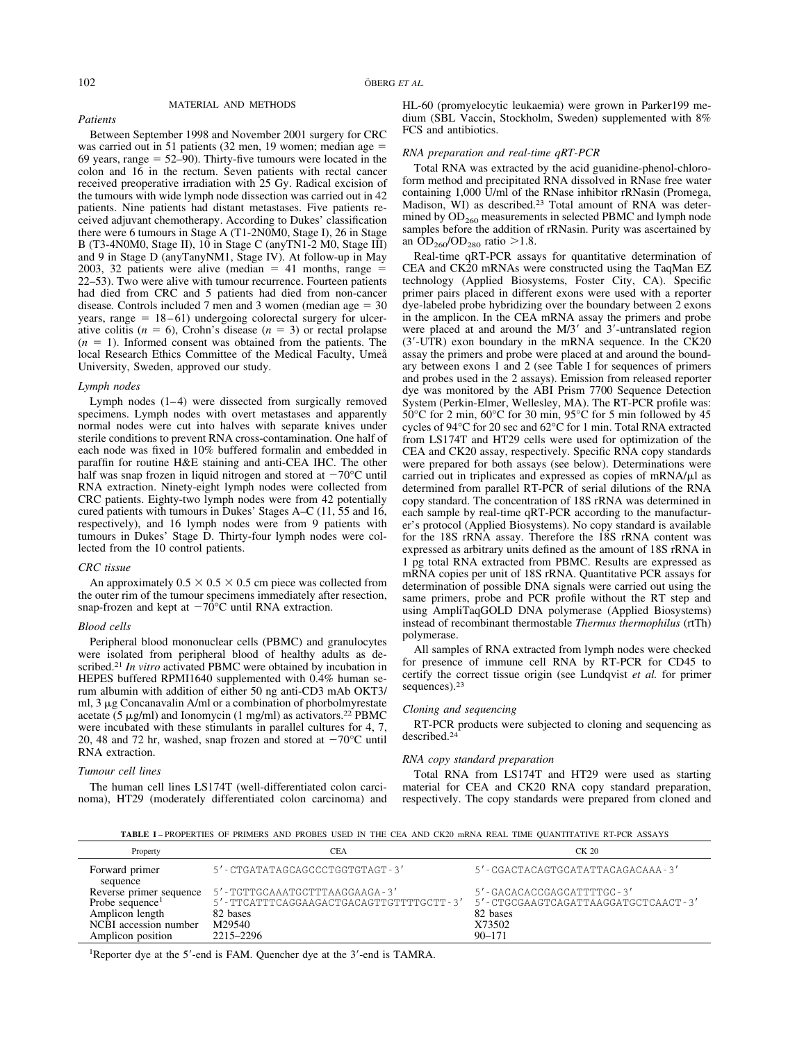*Patients*

# MATERIAL AND METHODS

Between September 1998 and November 2001 surgery for CRC was carried out in 51 patients (32 men, 19 women; median age  $=$ 69 years, range  $= 52-90$ . Thirty-five tumours were located in the colon and 16 in the rectum. Seven patients with rectal cancer received preoperative irradiation with 25 Gy. Radical excision of the tumours with wide lymph node dissection was carried out in 42 patients. Nine patients had distant metastases. Five patients received adjuvant chemotherapy. According to Dukes' classification there were 6 tumours in Stage A (T1-2N0M0, Stage I), 26 in Stage B (T3-4N0M0, Stage II), 10 in Stage C (anyTN1-2 M0, Stage III) and 9 in Stage D (anyTanyNM1, Stage IV). At follow-up in May  $2003$ , 32 patients were alive (median  $= 41$  months, range  $=$ 22–53). Two were alive with tumour recurrence. Fourteen patients had died from CRC and 5 patients had died from non-cancer disease. Controls included  $7$  men and  $3$  women (median age  $= 30$  $years, range = 18-61)$  undergoing colorectal surgery for ulcerative colitis  $(n = 6)$ , Crohn's disease  $(n = 3)$  or rectal prolapse  $(n = 1)$ . Informed consent was obtained from the patients. The local Research Ethics Committee of the Medical Faculty, Umeå University, Sweden, approved our study.

## *Lymph nodes*

Lymph nodes  $(1-4)$  were dissected from surgically removed specimens. Lymph nodes with overt metastases and apparently normal nodes were cut into halves with separate knives under sterile conditions to prevent RNA cross-contamination. One half of each node was fixed in 10% buffered formalin and embedded in paraffin for routine H&E staining and anti-CEA IHC. The other half was snap frozen in liquid nitrogen and stored at  $-70^{\circ}$ C until RNA extraction. Ninety-eight lymph nodes were collected from CRC patients. Eighty-two lymph nodes were from 42 potentially cured patients with tumours in Dukes' Stages A–C (11, 55 and 16, respectively), and 16 lymph nodes were from 9 patients with tumours in Dukes' Stage D. Thirty-four lymph nodes were collected from the 10 control patients.

#### *CRC tissue*

An approximately  $0.5 \times 0.5 \times 0.5$  cm piece was collected from the outer rim of the tumour specimens immediately after resection, snap-frozen and kept at  $-70^{\circ}$ C until RNA extraction.

#### *Blood cells*

Peripheral blood mononuclear cells (PBMC) and granulocytes were isolated from peripheral blood of healthy adults as described.21 *In vitro* activated PBMC were obtained by incubation in HEPES buffered RPMI1640 supplemented with 0.4% human serum albumin with addition of either 50 ng anti-CD3 mAb OKT3/ ml,  $3 \mu$ g Concanavalin A/ml or a combination of phorbolmyrestate acetate (5  $\mu$ g/ml) and Ionomycin (1 mg/ml) as activators.<sup>22</sup> PBMC were incubated with these stimulants in parallel cultures for 4, 7, 20, 48 and 72 hr, washed, snap frozen and stored at  $-70^{\circ}$ C until RNA extraction.

### *Tumour cell lines*

The human cell lines LS174T (well-differentiated colon carcinoma), HT29 (moderately differentiated colon carcinoma) and HL-60 (promyelocytic leukaemia) were grown in Parker199 medium (SBL Vaccin, Stockholm, Sweden) supplemented with 8% FCS and antibiotics.

#### *RNA preparation and real-time qRT-PCR*

Total RNA was extracted by the acid guanidine-phenol-chloroform method and precipitated RNA dissolved in RNase free water containing 1,000 U/ml of the RNase inhibitor rRNasin (Promega, Madison, WI) as described.23 Total amount of RNA was determined by  $OD<sub>260</sub>$  measurements in selected PBMC and lymph node samples before the addition of rRNasin. Purity was ascertained by an  $OD_{260}/OD_{280}$  ratio >1.8.

Real-time qRT-PCR assays for quantitative determination of CEA and CK20 mRNAs were constructed using the TaqMan EZ technology (Applied Biosystems, Foster City, CA). Specific primer pairs placed in different exons were used with a reporter dye-labeled probe hybridizing over the boundary between 2 exons in the amplicon. In the CEA mRNA assay the primers and probe were placed at and around the M/3' and 3'-untranslated region (3-UTR) exon boundary in the mRNA sequence. In the CK20 assay the primers and probe were placed at and around the boundary between exons 1 and 2 (see Table I for sequences of primers and probes used in the 2 assays). Emission from released reporter dye was monitored by the ABI Prism 7700 Sequence Detection System (Perkin-Elmer, Wellesley, MA). The RT-PCR profile was: 50°C for 2 min, 60°C for 30 min, 95°C for 5 min followed by 45 cycles of 94°C for 20 sec and 62°C for 1 min. Total RNA extracted from LS174T and HT29 cells were used for optimization of the CEA and CK20 assay, respectively. Specific RNA copy standards were prepared for both assays (see below). Determinations were carried out in triplicates and expressed as copies of  $mRNA/\mu$ l as determined from parallel RT-PCR of serial dilutions of the RNA copy standard. The concentration of 18S rRNA was determined in each sample by real-time qRT-PCR according to the manufacturer's protocol (Applied Biosystems). No copy standard is available for the 18S rRNA assay. Therefore the 18S rRNA content was expressed as arbitrary units defined as the amount of 18S rRNA in 1 pg total RNA extracted from PBMC. Results are expressed as mRNA copies per unit of 18S rRNA. Quantitative PCR assays for determination of possible DNA signals were carried out using the same primers, probe and PCR profile without the RT step and using AmpliTaqGOLD DNA polymerase (Applied Biosystems) instead of recombinant thermostable *Thermus thermophilus* (rtTh) polymerase.

All samples of RNA extracted from lymph nodes were checked for presence of immune cell RNA by RT-PCR for CD45 to certify the correct tissue origin (see Lundqvist *et al.* for primer sequences).23

#### *Cloning and sequencing*

RT-PCR products were subjected to cloning and sequencing as described.24

#### *RNA copy standard preparation*

Total RNA from LS174T and HT29 were used as starting material for CEA and CK20 RNA copy standard preparation, respectively. The copy standards were prepared from cloned and

**TABLE I** – PROPERTIES OF PRIMERS AND PROBES USED IN THE CEA AND CK20 mRNA REAL TIME QUANTITATIVE RT-PCR ASSAYS

| Property                                               | CEA                                                                      | $CK$ 20                                                             |  |  |
|--------------------------------------------------------|--------------------------------------------------------------------------|---------------------------------------------------------------------|--|--|
| Forward primer<br>sequence                             | 5'-CTGATATAGCAGCCCTGGTGTAGT-3'                                           | 5'-CGACTACAGTGCATATTACAGACAAA-3'                                    |  |  |
| Reverse primer sequence<br>Probe sequence <sup>1</sup> | 5'-TGTTGCAAATGCTTTAAGGAAGA-3'<br>5'-TTCATTTCAGGAAGACTGACAGTTGTTTTGCTT-3' | $5'$ -GACACACCGAGCATTTTGC-3'<br>5'-CTGCGAAGTCAGATTAAGGATGCTCAACT-3' |  |  |
| Amplicon length<br>NCBI accession number               | 82 bases<br>M29540                                                       | 82 bases<br>X73502                                                  |  |  |
| Amplicon position                                      | 2215–2296                                                                | $90 - 171$                                                          |  |  |

<sup>1</sup>Reporter dye at the 5'-end is FAM. Quencher dye at the 3'-end is TAMRA.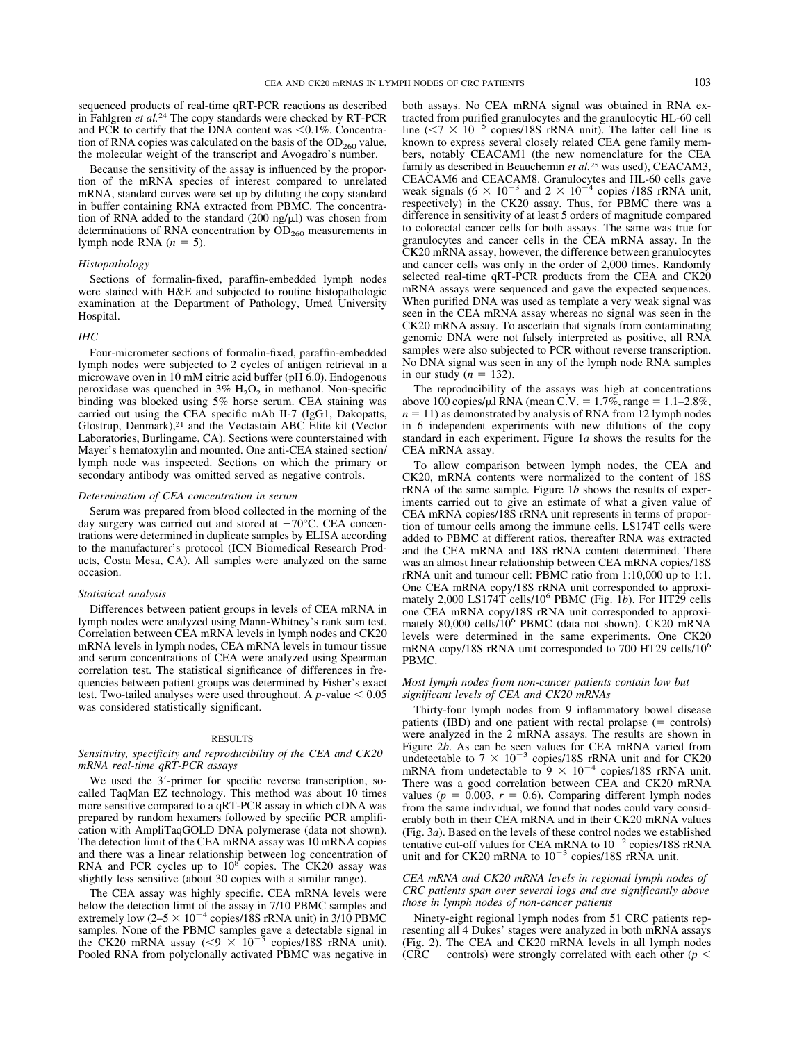sequenced products of real-time qRT-PCR reactions as described in Fahlgren *et al.*<sup>24</sup> The copy standards were checked by RT-PCR and PCR to certify that the DNA content was  $\leq 0.1\%$ . Concentration of RNA copies was calculated on the basis of the  $OD<sub>260</sub>$  value, the molecular weight of the transcript and Avogadro's number.

Because the sensitivity of the assay is influenced by the proportion of the mRNA species of interest compared to unrelated mRNA, standard curves were set up by diluting the copy standard in buffer containing RNA extracted from PBMC. The concentration of RNA added to the standard  $(200 \text{ ng/µl})$  was chosen from determinations of RNA concentration by  $OD<sub>260</sub>$  measurements in lymph node RNA  $(n = 5)$ .

### *Histopathology*

Sections of formalin-fixed, paraffin-embedded lymph nodes were stained with H&E and subjected to routine histopathologic examination at the Department of Pathology, Umeå University Hospital.

## *IHC*

Four-micrometer sections of formalin-fixed, paraffin-embedded lymph nodes were subjected to 2 cycles of antigen retrieval in a microwave oven in 10 mM citric acid buffer (pH 6.0). Endogenous peroxidase was quenched in  $3\%$  H<sub>2</sub>O<sub>2</sub> in methanol. Non-specific binding was blocked using 5% horse serum. CEA staining was carried out using the CEA specific mAb II-7 (IgG1, Dakopatts, Glostrup, Denmark),<sup>21</sup> and the Vectastain ABC Elite kit (Vector Laboratories, Burlingame, CA). Sections were counterstained with Mayer's hematoxylin and mounted. One anti-CEA stained section/ lymph node was inspected. Sections on which the primary or secondary antibody was omitted served as negative controls.

#### *Determination of CEA concentration in serum*

Serum was prepared from blood collected in the morning of the day surgery was carried out and stored at  $-70^{\circ}$ C. CEA concentrations were determined in duplicate samples by ELISA according to the manufacturer's protocol (ICN Biomedical Research Products, Costa Mesa, CA). All samples were analyzed on the same occasion.

#### *Statistical analysis*

Differences between patient groups in levels of CEA mRNA in lymph nodes were analyzed using Mann-Whitney's rank sum test. Correlation between CEA mRNA levels in lymph nodes and CK20 mRNA levels in lymph nodes, CEA mRNA levels in tumour tissue and serum concentrations of CEA were analyzed using Spearman correlation test. The statistical significance of differences in frequencies between patient groups was determined by Fisher's exact test. Two-tailed analyses were used throughout. A  $p$ -value  $\leq 0.05$ was considered statistically significant.

#### RESULTS

## *Sensitivity, specificity and reproducibility of the CEA and CK20 mRNA real-time qRT-PCR assays*

We used the 3'-primer for specific reverse transcription, socalled TaqMan EZ technology. This method was about 10 times more sensitive compared to a qRT-PCR assay in which cDNA was prepared by random hexamers followed by specific PCR amplification with AmpliTaqGOLD DNA polymerase (data not shown). The detection limit of the CEA mRNA assay was 10 mRNA copies and there was a linear relationship between log concentration of RNA and PCR cycles up to  $10^8$  copies. The CK20 assay was slightly less sensitive (about 30 copies with a similar range).

The CEA assay was highly specific. CEA mRNA levels were below the detection limit of the assay in 7/10 PBMC samples and extremely low  $(2-5 \times 10^{-4}$  copies/18S rRNA unit) in 3/10 PBMC samples. None of the PBMC samples gave a detectable signal in the CK20 mRNA assay  $(< 9 \times 10^{-5}$  copies/18S rRNA unit). Pooled RNA from polyclonally activated PBMC was negative in both assays. No CEA mRNA signal was obtained in RNA extracted from purified granulocytes and the granulocytic HL-60 cell line  $(< 7 \times 10^{-5}$  copies/18S rRNA unit). The latter cell line is known to express several closely related CEA gene family members, notably CEACAM1 (the new nomenclature for the CEA family as described in Beauchemin *et al.*<sup>25</sup> was used), CEACAM3, CEACAM6 and CEACAM8. Granulocytes and HL-60 cells gave weak signals  $(6 \times 10^{-3}$  and  $2 \times 10^{-4}$  copies /18S rRNA unit, respectively) in the CK20 assay. Thus, for PBMC there was a difference in sensitivity of at least 5 orders of magnitude compared to colorectal cancer cells for both assays. The same was true for granulocytes and cancer cells in the CEA mRNA assay. In the CK20 mRNA assay, however, the difference between granulocytes and cancer cells was only in the order of 2,000 times. Randomly selected real-time qRT-PCR products from the CEA and CK20 mRNA assays were sequenced and gave the expected sequences. When purified DNA was used as template a very weak signal was seen in the CEA mRNA assay whereas no signal was seen in the CK20 mRNA assay. To ascertain that signals from contaminating genomic DNA were not falsely interpreted as positive, all RNA samples were also subjected to PCR without reverse transcription. No DNA signal was seen in any of the lymph node RNA samples in our study  $(n = 132)$ .

The reproducibility of the assays was high at concentrations above 100 copies/ $\mu$ l RNA (mean C.V. = 1.7%, range = 1.1–2.8%,  $n = 11$ ) as demonstrated by analysis of RNA from 12 lymph nodes in 6 independent experiments with new dilutions of the copy standard in each experiment. Figure 1*a* shows the results for the CEA mRNA assay.

To allow comparison between lymph nodes, the CEA and CK20, mRNA contents were normalized to the content of 18S rRNA of the same sample. Figure 1*b* shows the results of experiments carried out to give an estimate of what a given value of CEA mRNA copies/18S rRNA unit represents in terms of proportion of tumour cells among the immune cells. LS174T cells were added to PBMC at different ratios, thereafter RNA was extracted and the CEA mRNA and 18S rRNA content determined. There was an almost linear relationship between CEA mRNA copies/18S rRNA unit and tumour cell: PBMC ratio from 1:10,000 up to 1:1. One CEA mRNA copy/18S rRNA unit corresponded to approximately 2,000 LS174T cells/106 PBMC (Fig. 1*b*). For HT29 cells one CEA mRNA copy/18S rRNA unit corresponded to approximately 80,000 cells/10<sup>6</sup> PBMC (data not shown). CK20 mRNA levels were determined in the same experiments. One CK20 mRNA copy/18S rRNA unit corresponded to 700 HT29 cells/10<sup>6</sup> PBMC.

## *Most lymph nodes from non-cancer patients contain low but significant levels of CEA and CK20 mRNAs*

Thirty-four lymph nodes from 9 inflammatory bowel disease patients (IBD) and one patient with rectal prolapse  $(=$  controls) were analyzed in the 2 mRNA assays. The results are shown in Figure 2*b*. As can be seen values for CEA mRNA varied from undetectable to  $7 \times 10^{-3}$  copies/18S rRNA unit and for CK20 mRNA from undetectable to  $9 \times 10^{-4}$  copies/18S rRNA unit. There was a good correlation between CEA and CK20 mRNA values ( $p = 0.003$ ,  $r = 0.6$ ). Comparing different lymph nodes from the same individual, we found that nodes could vary considerably both in their CEA mRNA and in their CK20 mRNA values (Fig. 3*a*). Based on the levels of these control nodes we established tentative cut-off values for CEA mRNA to  $10^{-2}$  copies/18S rRNA unit and for CK20 mRNA to  $10^{-3}$  copies/18S rRNA unit.

## *CEA mRNA and CK20 mRNA levels in regional lymph nodes of CRC patients span over several logs and are significantly above those in lymph nodes of non-cancer patients*

Ninety-eight regional lymph nodes from 51 CRC patients representing all 4 Dukes' stages were analyzed in both mRNA assays (Fig. 2). The CEA and CK20 mRNA levels in all lymph nodes (CRC + controls) were strongly correlated with each other ( $p <$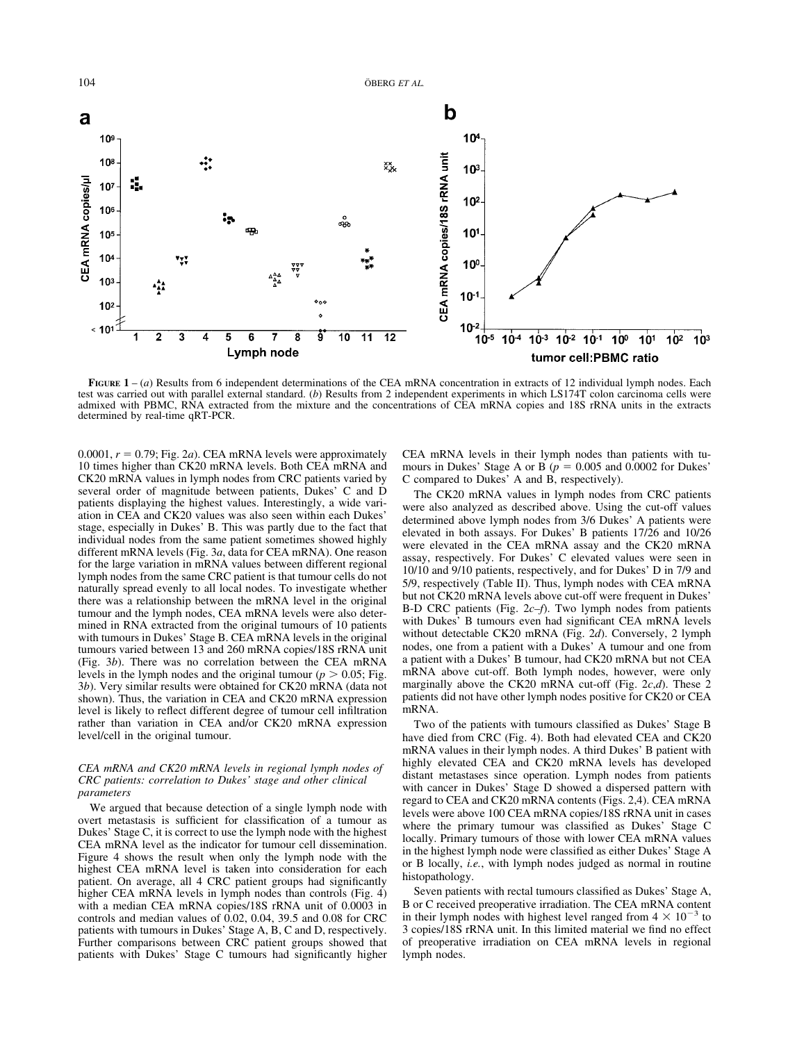104 ÖBERG *ET AL.* 



**FIGURE 1** – (*a*) Results from 6 independent determinations of the CEA mRNA concentration in extracts of 12 individual lymph nodes. Each test was carried out with parallel external standard. (*b*) Results from 2 independent experiments in which LS174T colon carcinoma cells were admixed with PBMC, RNA extracted from the mixture and the concentrations of CEA mRNA copies and 18S rRNA units in the extracts determined by real-time qRT-PCR.

 $0.0001$ ,  $r = 0.79$ ; Fig. 2*a*). CEA mRNA levels were approximately 10 times higher than CK20 mRNA levels. Both CEA mRNA and CK20 mRNA values in lymph nodes from CRC patients varied by several order of magnitude between patients, Dukes' C and D patients displaying the highest values. Interestingly, a wide variation in CEA and CK20 values was also seen within each Dukes' stage, especially in Dukes' B. This was partly due to the fact that individual nodes from the same patient sometimes showed highly different mRNA levels (Fig. 3*a*, data for CEA mRNA). One reason for the large variation in mRNA values between different regional lymph nodes from the same CRC patient is that tumour cells do not naturally spread evenly to all local nodes. To investigate whether there was a relationship between the mRNA level in the original tumour and the lymph nodes, CEA mRNA levels were also determined in RNA extracted from the original tumours of 10 patients with tumours in Dukes' Stage B. CEA mRNA levels in the original tumours varied between 13 and 260 mRNA copies/18S rRNA unit (Fig. 3*b*). There was no correlation between the CEA mRNA levels in the lymph nodes and the original tumour ( $p > 0.05$ ; Fig. 3*b*). Very similar results were obtained for CK20 mRNA (data not shown). Thus, the variation in CEA and CK20 mRNA expression level is likely to reflect different degree of tumour cell infiltration rather than variation in CEA and/or CK20 mRNA expression level/cell in the original tumour.

## *CEA mRNA and CK20 mRNA levels in regional lymph nodes of CRC patients: correlation to Dukes' stage and other clinical parameters*

We argued that because detection of a single lymph node with overt metastasis is sufficient for classification of a tumour as Dukes' Stage C, it is correct to use the lymph node with the highest CEA mRNA level as the indicator for tumour cell dissemination. Figure 4 shows the result when only the lymph node with the highest CEA mRNA level is taken into consideration for each patient. On average, all 4 CRC patient groups had significantly higher CEA mRNA levels in lymph nodes than controls (Fig. 4) with a median CEA mRNA copies/18S rRNA unit of 0.0003 in controls and median values of  $0.02$ ,  $0.04$ ,  $39.5$  and  $0.08$  for CRC patients with tumours in Dukes' Stage A, B, C and D, respectively. Further comparisons between CRC patient groups showed that patients with Dukes' Stage C tumours had significantly higher

CEA mRNA levels in their lymph nodes than patients with tumours in Dukes' Stage A or B ( $p = 0.005$  and 0.0002 for Dukes' C compared to Dukes' A and B, respectively).

The CK20 mRNA values in lymph nodes from CRC patients were also analyzed as described above. Using the cut-off values determined above lymph nodes from 3/6 Dukes' A patients were elevated in both assays. For Dukes' B patients 17/26 and 10/26 were elevated in the CEA mRNA assay and the CK20 mRNA assay, respectively. For Dukes' C elevated values were seen in 10/10 and 9/10 patients, respectively, and for Dukes' D in 7/9 and 5/9, respectively (Table II). Thus, lymph nodes with CEA mRNA but not CK20 mRNA levels above cut-off were frequent in Dukes' B-D CRC patients (Fig. 2*c–f*). Two lymph nodes from patients with Dukes' B tumours even had significant CEA mRNA levels without detectable CK20 mRNA (Fig. 2*d*). Conversely, 2 lymph nodes, one from a patient with a Dukes' A tumour and one from a patient with a Dukes' B tumour, had CK20 mRNA but not CEA mRNA above cut-off. Both lymph nodes, however, were only marginally above the CK20 mRNA cut-off (Fig. 2*c*,*d*). These 2 patients did not have other lymph nodes positive for CK20 or CEA mRNA.

Two of the patients with tumours classified as Dukes' Stage B have died from CRC (Fig. 4). Both had elevated CEA and CK20 mRNA values in their lymph nodes. A third Dukes' B patient with highly elevated CEA and CK20 mRNA levels has developed distant metastases since operation. Lymph nodes from patients with cancer in Dukes' Stage D showed a dispersed pattern with regard to CEA and CK20 mRNA contents (Figs. 2,4). CEA mRNA levels were above 100 CEA mRNA copies/18S rRNA unit in cases where the primary tumour was classified as Dukes' Stage C locally. Primary tumours of those with lower CEA mRNA values in the highest lymph node were classified as either Dukes' Stage A or B locally, *i.e.*, with lymph nodes judged as normal in routine histopathology.

Seven patients with rectal tumours classified as Dukes' Stage A, B or C received preoperative irradiation. The CEA mRNA content in their lymph nodes with highest level ranged from  $4 \times 10^{-3}$  to 3 copies/18S rRNA unit. In this limited material we find no effect of preoperative irradiation on CEA mRNA levels in regional lymph nodes.

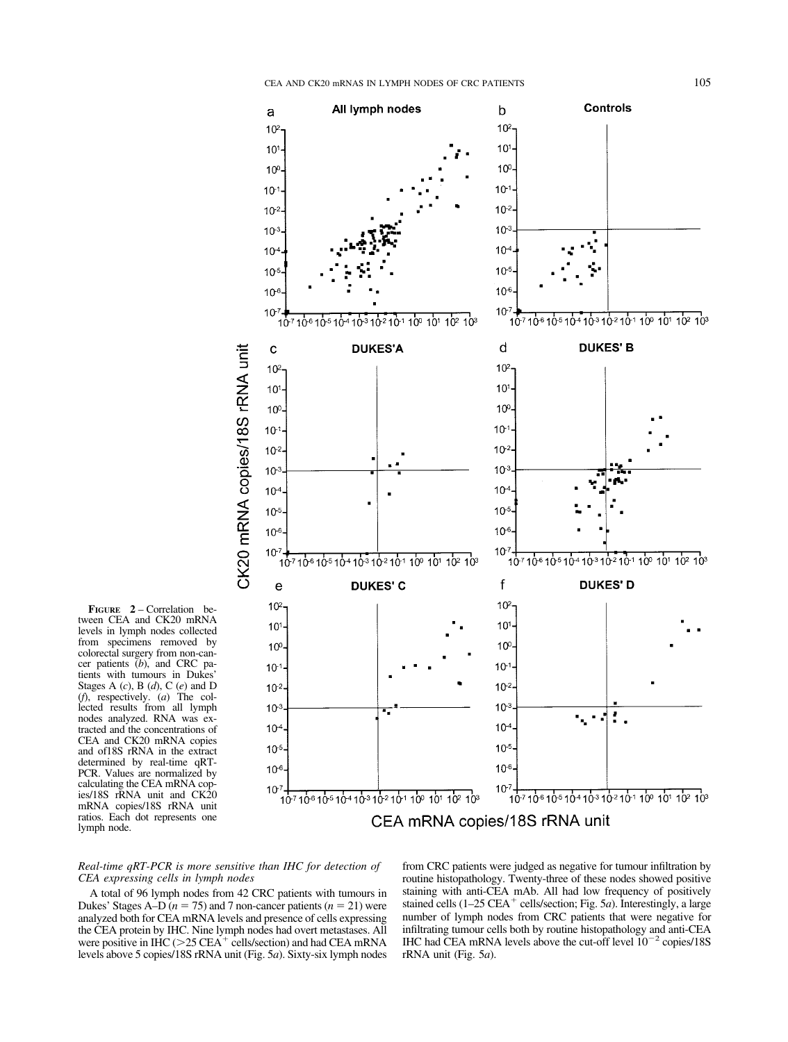

**FIGURE 2** – Correlation between CEA and CK20 mRNA levels in lymph nodes collected from specimens removed by colorectal surgery from non-cancer patients (*b*), and CRC patients with tumours in Dukes' Stages A (*c*), B (*d*), C (*e*) and D (*f*), respectively. (*a*) The collected results from all lymph nodes analyzed. RNA was extracted and the concentrations of CEA and CK20 mRNA copies and of18S rRNA in the extract determined by real-time qRT-PCR. Values are normalized by calculating the CEA mRNA copies/18S rRNA unit and CK20 mRNA copies/18S rRNA unit ratios. Each dot represents one lymph node.

*Real-time qRT-PCR is more sensitive than IHC for detection of CEA expressing cells in lymph nodes*

A total of 96 lymph nodes from 42 CRC patients with tumours in Dukes' Stages A–D ( $n = 75$ ) and 7 non-cancer patients ( $n = 21$ ) were analyzed both for CEA mRNA levels and presence of cells expressing the CEA protein by IHC. Nine lymph nodes had overt metastases. All were positive in IHC ( $>$ 25 CEA<sup>+</sup> cells/section) and had CEA mRNA levels above 5 copies/18S rRNA unit (Fig. 5*a*). Sixty-six lymph nodes

from CRC patients were judged as negative for tumour infiltration by routine histopathology. Twenty-three of these nodes showed positive staining with anti-CEA mAb. All had low frequency of positively stained cells (1-25 CEA<sup>+</sup> cells/section; Fig. 5*a*). Interestingly, a large number of lymph nodes from CRC patients that were negative for infiltrating tumour cells both by routine histopathology and anti-CEA IHC had CEA mRNA levels above the cut-off level  $10^{-2}$  copies/18S rRNA unit (Fig. 5*a*).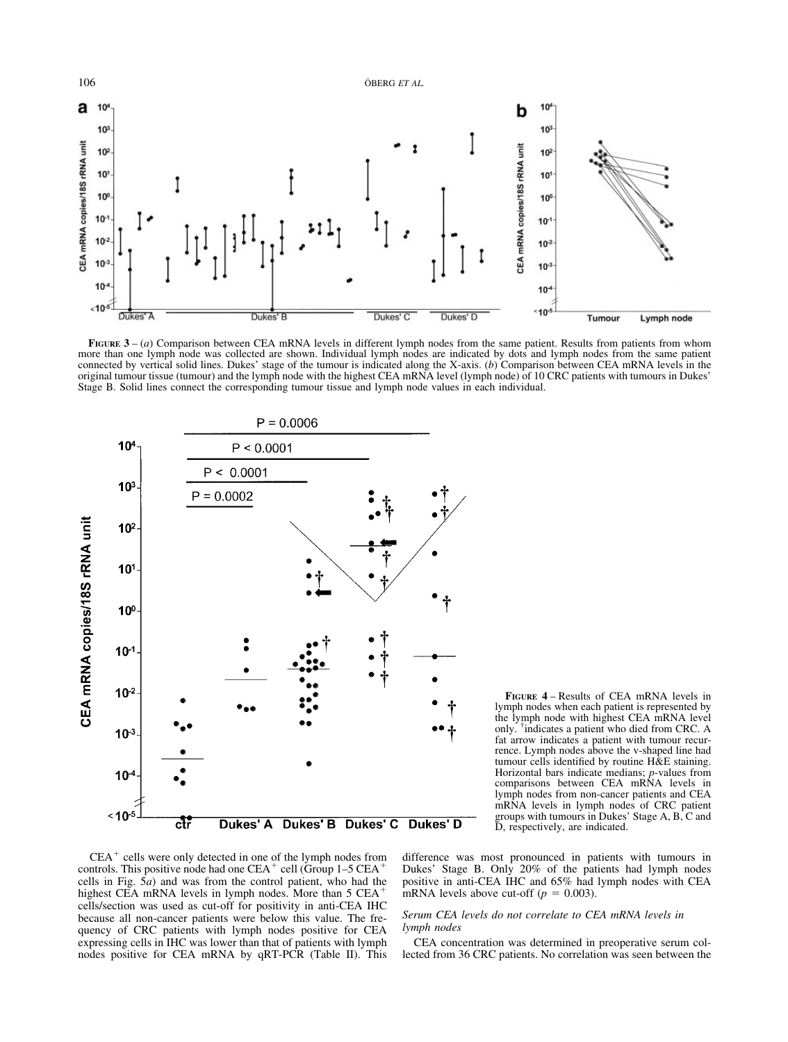

**FIGURE** 3 – (*a*) Comparison between CEA mRNA levels in different lymph nodes from the same patient. Results from patients from whom more than one lymph node was collected are shown. Individual lymph nodes are indicated by dots and lymph nodes from the same patient connected by vertical solid lines. Dukes' stage of the tumour is indicated along the X-axis. (*b*) Comparison between CEA mRNA levels in the original tumour tissue (tumour) and the lymph node with the highest CEA mRNA level (lymph node) of 10 CRC patients with tumours in Dukes' Stage B. Solid lines connect the corresponding tumour tissue and lymph node values in each individual.



**FIGURE 4** – Results of CEA mRNA levels in lymph nodes when each patient is represented by the lymph node with highest CEA mRNA level only. † indicates a patient who died from CRC. A fat arrow indicates a patient with tumour recurrence. Lymph nodes above the v-shaped line had tumour cells identified by routine H&E staining. Horizontal bars indicate medians; *p*-values from comparisons between CEA mRNA levels in lymph nodes from non-cancer patients and CEA mRNA levels in lymph nodes of CRC patient groups with tumours in Dukes' Stage A, B, C and D, respectively, are indicated.

 $CEA<sup>+</sup>$  cells were only detected in one of the lymph nodes from controls. This positive node had one  $CEA<sup>+</sup>$  cell (Group 1–5  $CEA<sup>+</sup>$ cells in Fig. 5*a*) and was from the control patient, who had the highest CEA mRNA levels in lymph nodes. More than 5 CEA<sup>+</sup> cells/section was used as cut-off for positivity in anti-CEA IHC because all non-cancer patients were below this value. The frequency of CRC patients with lymph nodes positive for CEA expressing cells in IHC was lower than that of patients with lymph nodes positive for CEA mRNA by qRT-PCR (Table II). This difference was most pronounced in patients with tumours in Dukes' Stage B. Only 20% of the patients had lymph nodes positive in anti-CEA IHC and 65% had lymph nodes with CEA mRNA levels above cut-off  $(p = 0.003)$ .

## *Serum CEA levels do not correlate to CEA mRNA levels in lymph nodes*

CEA concentration was determined in preoperative serum collected from 36 CRC patients. No correlation was seen between the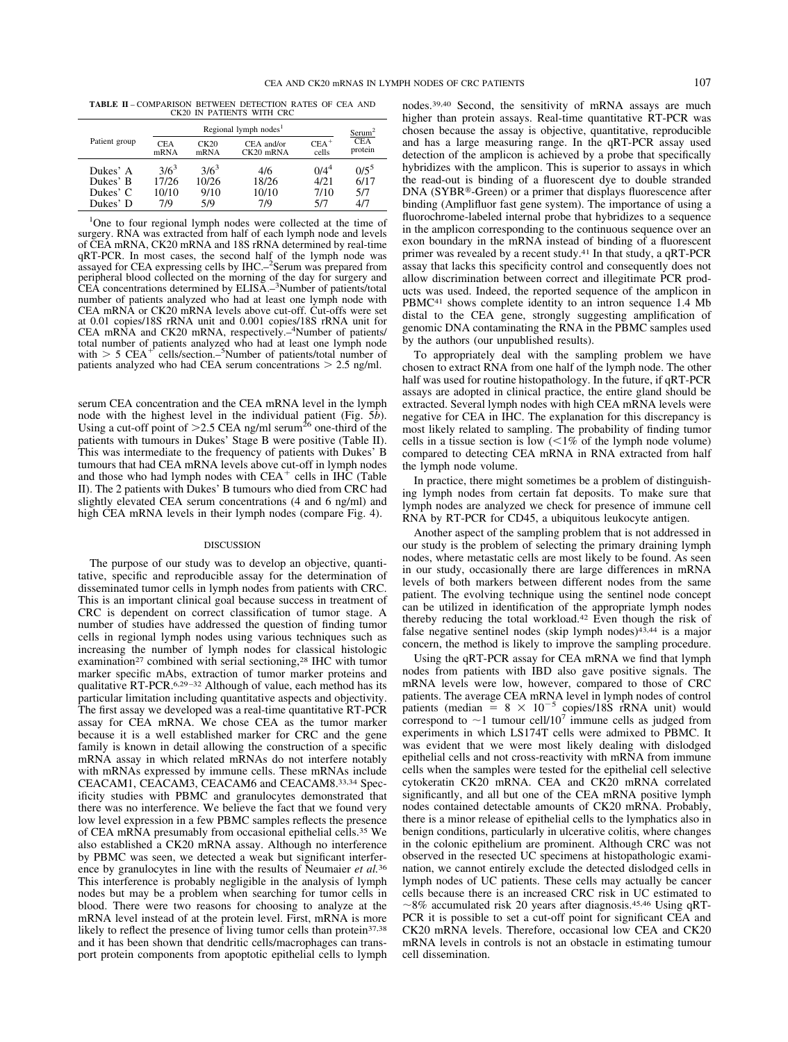**TABLE II** – COMPARISON BETWEEN DETECTION RATES OF CEA AND CK20 IN PATIENTS WITH CRC

| Patient group        | Regional lymph nodes <sup>1</sup> |                  |                           | Serum <sup>2</sup> |                       |
|----------------------|-----------------------------------|------------------|---------------------------|--------------------|-----------------------|
|                      | <b>CEA</b><br>mRNA                | CK20<br>mRNA     | CEA and/or<br>$CK20$ mRNA | $CEA+$<br>cells    | <b>CEA</b><br>protein |
| Dukes' A<br>Dukes' B | $3/6^3$<br>17/26                  | $3/6^3$<br>10/26 | 4/6<br>18/26              | $0/4^4$<br>4/21    | $0/5^5$<br>6/17       |
| Dukes' C<br>Dukes' D | 10/10<br>7/9                      | 9/10<br>5/9      | 10/10<br>7/9              | 7/10<br>5/7        | 5/7<br>4/7            |

<sup>1</sup>One to four regional lymph nodes were collected at the time of surgery. RNA was extracted from half of each lymph node and levels of CEA mRNA, CK20 mRNA and 18S rRNA determined by real-time qRT-PCR. In most cases, the second half of the lymph node was assayed for CEA expressing cells by IHC.–2 Serum was prepared from peripheral blood collected on the morning of the day for surgery and CEA concentrations determined by ELISA.<sup>3</sup>Number of patients/total number of patients analyzed who had at least one lymph node with CEA mRNA or CK20 mRNA levels above cut-off. Cut-offs were set at 0.01 copies/18S rRNA unit and 0.001 copies/18S rRNA unit for<br>CEA mRNA and CK20 mRNA, respectively.-4Number of patients/ total number of patients analyzed who had at least one lymph node with  $> 5$  CEA<sup>+</sup> cells/section.–<sup>5</sup>Number of patients/total number of patients analyzed who had CEA serum concentrations 2.5 ng/ml.

serum CEA concentration and the CEA mRNA level in the lymph node with the highest level in the individual patient (Fig. 5*b*).<br>Using a cut-off point of >2.5 CEA ng/ml serum<sup>26</sup> one-third of the patients with tumours in Dukes' Stage B were positive (Table II). This was intermediate to the frequency of patients with Dukes' B tumours that had CEA mRNA levels above cut-off in lymph nodes and those who had lymph nodes with  $CEA<sup>+</sup>$  cells in IHC (Table II). The 2 patients with Dukes' B tumours who died from CRC had slightly elevated CEA serum concentrations (4 and 6 ng/ml) and high CEA mRNA levels in their lymph nodes (compare Fig. 4).

#### DISCUSSION

The purpose of our study was to develop an objective, quantitative, specific and reproducible assay for the determination of disseminated tumor cells in lymph nodes from patients with CRC. This is an important clinical goal because success in treatment of CRC is dependent on correct classification of tumor stage. A number of studies have addressed the question of finding tumor cells in regional lymph nodes using various techniques such as increasing the number of lymph nodes for classical histologic examination<sup>27</sup> combined with serial sectioning,<sup>28</sup> IHC with tumor marker specific mAbs, extraction of tumor marker proteins and qualitative RT-PCR.<sup>6,29-32</sup> Although of value, each method has its particular limitation including quantitative aspects and objectivity. The first assay we developed was a real-time quantitative RT-PCR assay for CEA mRNA. We chose CEA as the tumor marker because it is a well established marker for CRC and the gene family is known in detail allowing the construction of a specific mRNA assay in which related mRNAs do not interfere notably with mRNAs expressed by immune cells. These mRNAs include CEACAM1, CEACAM3, CEACAM6 and CEACAM8.33,34 Specificity studies with PBMC and granulocytes demonstrated that there was no interference. We believe the fact that we found very low level expression in a few PBMC samples reflects the presence of CEA mRNA presumably from occasional epithelial cells.<sup>35</sup> We also established a CK20 mRNA assay. Although no interference by PBMC was seen, we detected a weak but significant interference by granulocytes in line with the results of Neumaier *et al.*<sup>36</sup> This interference is probably negligible in the analysis of lymph nodes but may be a problem when searching for tumor cells in blood. There were two reasons for choosing to analyze at the mRNA level instead of at the protein level. First, mRNA is more likely to reflect the presence of living tumor cells than protein<sup>37,38</sup> and it has been shown that dendritic cells/macrophages can transport protein components from apoptotic epithelial cells to lymph

nodes.39,40 Second, the sensitivity of mRNA assays are much higher than protein assays. Real-time quantitative RT-PCR was chosen because the assay is objective, quantitative, reproducible and has a large measuring range. In the qRT-PCR assay used detection of the amplicon is achieved by a probe that specifically hybridizes with the amplicon. This is superior to assays in which the read-out is binding of a fluorescent dye to double stranded DNA (SYBR®-Green) or a primer that displays fluorescence after binding (Amplifluor fast gene system). The importance of using a fluorochrome-labeled internal probe that hybridizes to a sequence in the amplicon corresponding to the continuous sequence over an exon boundary in the mRNA instead of binding of a fluorescent primer was revealed by a recent study.41 In that study, a qRT-PCR assay that lacks this specificity control and consequently does not allow discrimination between correct and illegitimate PCR products was used. Indeed, the reported sequence of the amplicon in PBMC<sup>41</sup> shows complete identity to an intron sequence 1.4 Mb distal to the CEA gene, strongly suggesting amplification of genomic DNA contaminating the RNA in the PBMC samples used by the authors (our unpublished results).

To appropriately deal with the sampling problem we have chosen to extract RNA from one half of the lymph node. The other half was used for routine histopathology. In the future, if qRT-PCR assays are adopted in clinical practice, the entire gland should be extracted. Several lymph nodes with high CEA mRNA levels were negative for CEA in IHC. The explanation for this discrepancy is most likely related to sampling. The probability of finding tumor cells in a tissue section is low  $(<1\%$  of the lymph node volume) compared to detecting CEA mRNA in RNA extracted from half the lymph node volume.

In practice, there might sometimes be a problem of distinguishing lymph nodes from certain fat deposits. To make sure that lymph nodes are analyzed we check for presence of immune cell RNA by RT-PCR for CD45, a ubiquitous leukocyte antigen.

Another aspect of the sampling problem that is not addressed in our study is the problem of selecting the primary draining lymph nodes, where metastatic cells are most likely to be found. As seen in our study, occasionally there are large differences in mRNA levels of both markers between different nodes from the same patient. The evolving technique using the sentinel node concept can be utilized in identification of the appropriate lymph nodes thereby reducing the total workload.42 Even though the risk of false negative sentinel nodes (skip lymph nodes)43,44 is a major concern, the method is likely to improve the sampling procedure.

Using the qRT-PCR assay for CEA mRNA we find that lymph nodes from patients with IBD also gave positive signals. The mRNA levels were low, however, compared to those of CRC patients. The average CEA mRNA level in lymph nodes of control patients (median =  $8 \times 10^{-5}$  copies/18S rRNA unit) would correspond to  $\sim$ 1 tumour cell/10<sup>7</sup> immune cells as judged from experiments in which LS174T cells were admixed to PBMC. It was evident that we were most likely dealing with dislodged epithelial cells and not cross-reactivity with mRNA from immune cells when the samples were tested for the epithelial cell selective cytokeratin CK20 mRNA. CEA and CK20 mRNA correlated significantly, and all but one of the CEA mRNA positive lymph nodes contained detectable amounts of CK20 mRNA. Probably, there is a minor release of epithelial cells to the lymphatics also in benign conditions, particularly in ulcerative colitis, where changes in the colonic epithelium are prominent. Although CRC was not observed in the resected UC specimens at histopathologic examination, we cannot entirely exclude the detected dislodged cells in lymph nodes of UC patients. These cells may actually be cancer cells because there is an increased CRC risk in UC estimated to  $\sim$ 8% accumulated risk 20 years after diagnosis.<sup>45,46</sup> Using qRT-PCR it is possible to set a cut-off point for significant CEA and CK20 mRNA levels. Therefore, occasional low CEA and CK20 mRNA levels in controls is not an obstacle in estimating tumour cell dissemination.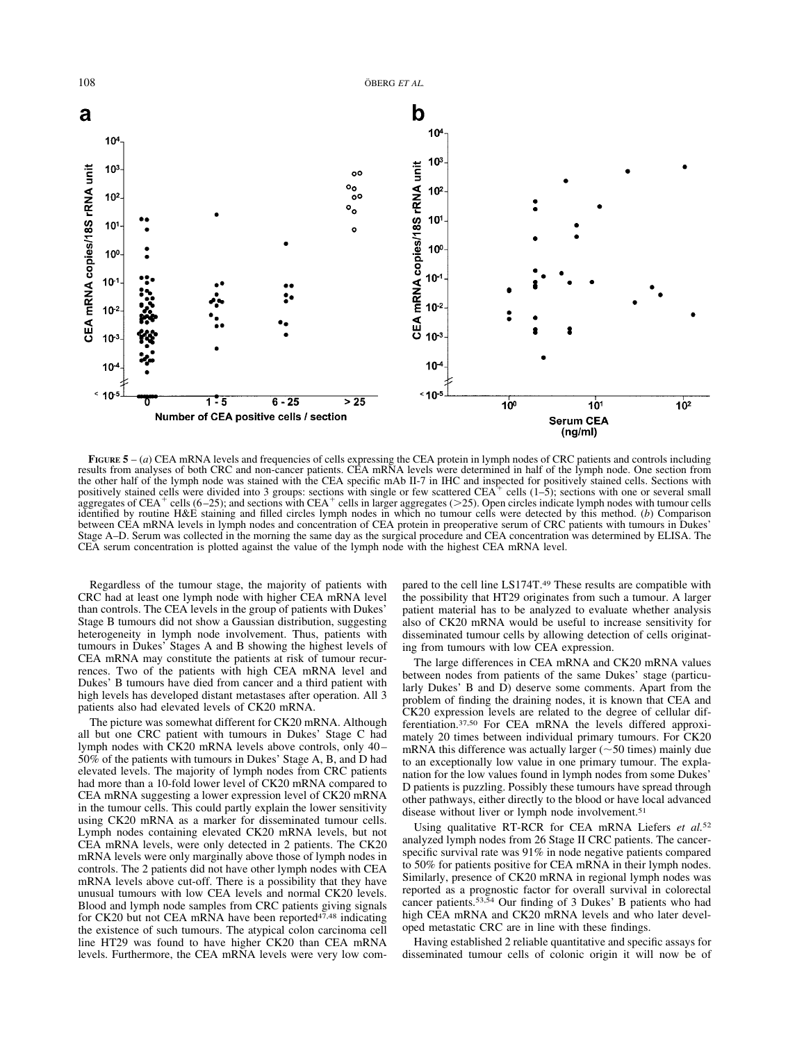

**FIGURE**  $5 - (a)$  CEA mRNA levels and frequencies of cells expressing the CEA protein in lymph nodes of CRC patients and controls including results from analyses of both CRC and non-cancer patients. CEA mRNA levels were determined in half of the lymph node. One section from the other half of the lymph node was stained with the CEA specific mAb II-7 in IHC and inspected for positively stained cells. Sections with positively stained cells were divided into 3 groups: sections with single or few aggregates of CEA<sup>+</sup> cells (6–25); and sections with CEA<sup>+</sup> cells in larger aggregates (>25). Open circles indicate lymph nodes with tumour cells identified by routine H&E staining and filled circles lymph nodes in which no tumour cells were detected by this method. (*b*) Comparison between CEA mRNA levels in lymph nodes and concentration of CEA protein in preoperative serum of CRC patients with tumours in Dukes' Stage A–D. Serum was collected in the morning the same day as the surgical procedure and CEA concentration was determined by ELISA. The CEA serum concentration is plotted against the value of the lymph node with the highest CEA mRNA level.

Regardless of the tumour stage, the majority of patients with CRC had at least one lymph node with higher CEA mRNA level than controls. The CEA levels in the group of patients with Dukes' Stage B tumours did not show a Gaussian distribution, suggesting heterogeneity in lymph node involvement. Thus, patients with tumours in Dukes' Stages A and B showing the highest levels of CEA mRNA may constitute the patients at risk of tumour recurrences. Two of the patients with high CEA mRNA level and Dukes' B tumours have died from cancer and a third patient with high levels has developed distant metastases after operation. All 3 patients also had elevated levels of CK20 mRNA.

The picture was somewhat different for CK20 mRNA. Although all but one CRC patient with tumours in Dukes' Stage C had lymph nodes with CK20 mRNA levels above controls, only 40– 50% of the patients with tumours in Dukes' Stage A, B, and D had elevated levels. The majority of lymph nodes from CRC patients had more than a 10-fold lower level of CK20 mRNA compared to CEA mRNA suggesting a lower expression level of CK20 mRNA in the tumour cells. This could partly explain the lower sensitivity using CK20 mRNA as a marker for disseminated tumour cells. Lymph nodes containing elevated CK20 mRNA levels, but not CEA mRNA levels, were only detected in 2 patients. The CK20 mRNA levels were only marginally above those of lymph nodes in controls. The 2 patients did not have other lymph nodes with CEA mRNA levels above cut-off. There is a possibility that they have unusual tumours with low CEA levels and normal CK20 levels. Blood and lymph node samples from CRC patients giving signals for CK20 but not CEA mRNA have been reported<sup>47,48</sup> indicating the existence of such tumours. The atypical colon carcinoma cell line HT29 was found to have higher CK20 than CEA mRNA levels. Furthermore, the CEA mRNA levels were very low compared to the cell line LS174T.49 These results are compatible with the possibility that HT29 originates from such a tumour. A larger patient material has to be analyzed to evaluate whether analysis also of CK20 mRNA would be useful to increase sensitivity for disseminated tumour cells by allowing detection of cells originating from tumours with low CEA expression.

The large differences in CEA mRNA and CK20 mRNA values between nodes from patients of the same Dukes' stage (particularly Dukes' B and D) deserve some comments. Apart from the problem of finding the draining nodes, it is known that CEA and CK20 expression levels are related to the degree of cellular differentiation.37,50 For CEA mRNA the levels differed approximately 20 times between individual primary tumours. For CK20 mRNA this difference was actually larger  $(\sim 50$  times) mainly due to an exceptionally low value in one primary tumour. The explanation for the low values found in lymph nodes from some Dukes' D patients is puzzling. Possibly these tumours have spread through other pathways, either directly to the blood or have local advanced disease without liver or lymph node involvement.<sup>51</sup>

Using qualitative RT-RCR for CEA mRNA Liefers *et al.*<sup>52</sup> analyzed lymph nodes from 26 Stage II CRC patients. The cancerspecific survival rate was 91% in node negative patients compared to 50% for patients positive for CEA mRNA in their lymph nodes. Similarly, presence of CK20 mRNA in regional lymph nodes was reported as a prognostic factor for overall survival in colorectal cancer patients.53,54 Our finding of 3 Dukes' B patients who had high CEA mRNA and CK20 mRNA levels and who later developed metastatic CRC are in line with these findings.

Having established 2 reliable quantitative and specific assays for disseminated tumour cells of colonic origin it will now be of

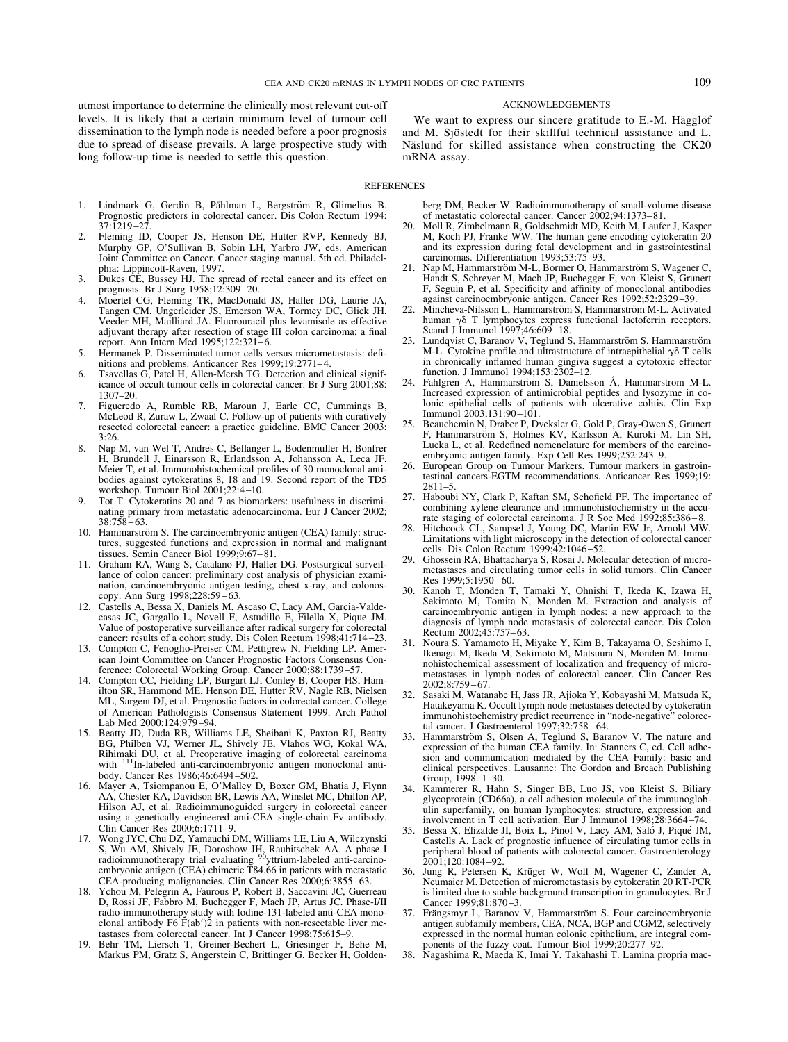utmost importance to determine the clinically most relevant cut-off levels. It is likely that a certain minimum level of tumour cell dissemination to the lymph node is needed before a poor prognosis due to spread of disease prevails. A large prospective study with long follow-up time is needed to settle this question.

ACKNOWLEDGEMENTS

We want to express our sincere gratitude to E.-M. Hägglöf and M. Sjöstedt for their skillful technical assistance and L. Näslund for skilled assistance when constructing the CK20 mRNA assay.

#### REFERENCES

- 1. Lindmark G, Gerdin B, Påhlman L, Bergström R, Glimelius B. Prognostic predictors in colorectal cancer. Dis Colon Rectum 1994;  $37.1219 - 27.$
- 2. Fleming ID, Cooper JS, Henson DE, Hutter RVP, Kennedy BJ, Murphy GP, O'Sullivan B, Sobin LH, Yarbro JW, eds. American Joint Committee on Cancer. Cancer staging manual. 5th ed. Philadelphia: Lippincott-Raven, 1997.
- 3. Dukes CE, Bussey HJ. The spread of rectal cancer and its effect on prognosis. Br J Surg 1958;12:309 –20.
- 4. Moertel CG, Fleming TR, MacDonald JS, Haller DG, Laurie JA, Tangen CM, Ungerleider JS, Emerson WA, Tormey DC, Glick JH, Veeder MH, Mailliard JA. Fluorouracil plus levamisole as effective adjuvant therapy after resection of stage III colon carcinoma: a final report. Ann Intern Med 1995;122:321-6.
- 5. Hermanek P. Disseminated tumor cells versus micrometastasis: definitions and problems. Anticancer Res 1999;19:2771-4.
- 6. Tsavellas G, Patel H, Allen-Mersh TG. Detection and clinical significance of occult tumour cells in colorectal cancer. Br J Surg 2001;88: 1307–20.
- 7. Figueredo A, Rumble RB, Maroun J, Earle CC, Cummings B, McLeod R, Zuraw L, Zwaal C. Follow-up of patients with curatively resected colorectal cancer: a practice guideline. BMC Cancer 2003; 3:26.
- 8. Nap M, van Wel T, Andres C, Bellanger L, Bodenmuller H, Bonfrer H, Brundell J, Einarsson R, Erlandsson A, Johansson A, Leca JF, Meier T, et al. Immunohistochemical profiles of 30 monoclonal antibodies against cytokeratins 8, 18 and 19. Second report of the TD5 workshop. Tumour Biol 2001;22:4 –10.
- 9. Tot T. Cytokeratins 20 and 7 as biomarkers: usefulness in discriminating primary from metastatic adenocarcinoma. Eur J Cancer 2002; 38:758 – 63.
- 10. Hammarström S. The carcinoembryonic antigen (CEA) family: structures, suggested functions and expression in normal and malignant tissues. Semin Cancer Biol 1999;9:67– 81.
- 11. Graham RA, Wang S, Catalano PJ, Haller DG. Postsurgical surveillance of colon cancer: preliminary cost analysis of physician examination, carcinoembryonic antigen testing, chest x-ray, and colonoscopy. Ann Surg 1998;228:59-63.
- 12. Castells A, Bessa X, Daniels M, Ascaso C, Lacy AM, Garcia-Valdecasas JC, Gargallo L, Novell F, Astudillo E, Filella X, Pique JM. Value of postoperative surveillance after radical surgery for colorectal cancer: results of a cohort study. Dis Colon Rectum 1998;41:714 –23.
- 13. Compton C, Fenoglio-Preiser CM, Pettigrew N, Fielding LP. American Joint Committee on Cancer Prognostic Factors Consensus Conference: Colorectal Working Group. Cancer 2000;88:1739 –57.
- 14. Compton CC, Fielding LP, Burgart LJ, Conley B, Cooper HS, Hamilton SR, Hammond ME, Henson DE, Hutter RV, Nagle RB, Nielsen ML, Sargent DJ, et al. Prognostic factors in colorectal cancer. College of American Pathologists Consensus Statement 1999. Arch Pathol Lab Med 2000;124:979 –94.
- 15. Beatty JD, Duda RB, Williams LE, Sheibani K, Paxton RJ, Beatty BG, Philben VJ, Werner JL, Shively JE, Vlahos WG, Kokal WA, Rihimaki DU, et al. Preoperative imaging of colorectal carcinoma with <sup>111</sup>In-labeled anti-carcinoembryonic antigen monoclonal antibody. Cancer Res 1986;46:6494 –502.
- 16. Mayer A, Tsiompanou E, O'Malley D, Boxer GM, Bhatia J, Flynn AA, Chester KA, Davidson BR, Lewis AA, Winslet MC, Dhillon AP, Hilson AJ, et al. Radioimmunoguided surgery in colorectal cancer using a genetically engineered anti-CEA single-chain Fv antibody. Clin Cancer Res 2000;6:1711–9.
- 17. Wong JYC, Chu DZ, Yamauchi DM, Williams LE, Liu A, Wilczynski S, Wu AM, Shively JE, Doroshow JH, Raubitschek AA. A phase I<br>radioimmunotherapy trial evaluating <sup>90</sup>yttrium-labeled anti-carcinoembryonic antigen (CEA) chimeric T84.66 in patients with metastatic CEA-producing malignancies. Clin Cancer Res 2000;6:3855– 63.
- 18. Ychou M, Pelegrin A, Faurous P, Robert B, Saccavini JC, Guerreau D, Rossi JF, Fabbro M, Buchegger F, Mach JP, Artus JC. Phase-I/II radio-immunotherapy study with Iodine-131-labeled anti-CEA monoclonal antibody  $F6 \dot{F} (ab')\dot{2}$  in patients with non-resectable liver metastases from colorectal cancer. Int J Cancer 1998;75:615–9.
- 19. Behr TM, Liersch T, Greiner-Bechert L, Griesinger F, Behe M, Markus PM, Gratz S, Angerstein C, Brittinger G, Becker H, Golden-

berg DM, Becker W. Radioimmunotherapy of small-volume disease of metastatic colorectal cancer. Cancer 2002;94:1373– 81.

- 20. Moll R, Zimbelmann R, Goldschmidt MD, Keith M, Laufer J, Kasper M, Koch PJ, Franke WW. The human gene encoding cytokeratin 20 and its expression during fetal development and in gastrointestinal carcinomas. Differentiation 1993;53:75–93.
- 21. Nap M, Hammarström M-L, Bormer O, Hammarström S, Wagener C, Handt S, Schreyer M, Mach JP, Buchegger F, von Kleist S, Grunert F, Seguin P, et al. Specificity and affinity of monoclonal antibodies against carcinoembryonic antigen. Cancer Res 1992;52:2329 –39.
- 22. Mincheva-Nilsson L, Hammarström S, Hammarström M-L. Activated human  $\gamma\delta$  T lymphocytes express functional lactoferrin receptors. Scand J Immunol 1997;46:609-18.
- 23. Lundqvist C, Baranov V, Teglund S, Hammarström S, Hammarström M-L. Cytokine profile and ultrastructure of intraepithelial  $\gamma \delta$  T cells in chronically inflamed human gingiva suggest a cytotoxic effector function. J Immunol 1994;153:2302–12.
- 24. Fahlgren A, Hammarström S, Danielsson Å, Hammarström M-L. Increased expression of antimicrobial peptides and lysozyme in colonic epithelial cells of patients with ulcerative colitis. Clin Exp Immunol 2003;131:90 –101.
- 25. Beauchemin N, Draber P, Dveksler G, Gold P, Gray-Owen S, Grunert F, Hammarström S, Holmes KV, Karlsson A, Kuroki M, Lin SH, Lucka L, et al. Redefined nomenclature for members of the carcinoembryonic antigen family. Exp Cell Res 1999;252:243–9.
- 26. European Group on Tumour Markers. Tumour markers in gastrointestinal cancers-EGTM recommendations. Anticancer Res 1999;19: 2811–5.
- 27. Haboubi NY, Clark P, Kaftan SM, Schofield PF. The importance of combining xylene clearance and immunohistochemistry in the accurate staging of colorectal carcinoma. J R Soc Med 1992;85:386-8.
- 28. Hitchcock CL, Sampsel J, Young DC, Martin EW Jr, Arnold MW. Limitations with light microscopy in the detection of colorectal cancer cells. Dis Colon Rectum 1999;42:1046-52.
- 29. Ghossein RA, Bhattacharya S, Rosai J. Molecular detection of micrometastases and circulating tumor cells in solid tumors. Clin Cancer Res 1999;5:1950 – 60.
- 30. Kanoh T, Monden T, Tamaki Y, Ohnishi T, Ikeda K, Izawa H, Sekimoto M, Tomita N, Monden M. Extraction and analysis of carcinoembryonic antigen in lymph nodes: a new approach to the diagnosis of lymph node metastasis of colorectal cancer. Dis Colon Rectum 2002;45:757– 63.
- 31. Noura S, Yamamoto H, Miyake Y, Kim B, Takayama O, Seshimo I, Ikenaga M, Ikeda M, Sekimoto M, Matsuura N, Monden M. Immunohistochemical assessment of localization and frequency of micrometastases in lymph nodes of colorectal cancer. Clin Cancer Res  $2002:8:759-67$
- 32. Sasaki M, Watanabe H, Jass JR, Ajioka Y, Kobayashi M, Matsuda K, Hatakeyama K. Occult lymph node metastases detected by cytokeratin immunohistochemistry predict recurrence in "node-negative" colorectal cancer. J Gastroenterol 1997;32:758 – 64.
- 33. Hammarström S, Olsen A, Teglund S, Baranov V. The nature and expression of the human CEA family. In: Stanners C, ed. Cell adhesion and communication mediated by the CEA Family: basic and clinical perspectives. Lausanne: The Gordon and Breach Publishing Group, 1998. 1–30.
- 34. Kammerer R, Hahn S, Singer BB, Luo JS, von Kleist S. Biliary glycoprotein (CD66a), a cell adhesion molecule of the immunoglobulin superfamily, on human lymphocytes: structure, expression and involvement in T cell activation. Eur J Immunol 1998;28:3664 –74.
- 35. Bessa X, Elizalde JI, Boix L, Pinol V, Lacy AM, Saló J, Piqué JM, Castells A. Lack of prognostic influence of circulating tumor cells in peripheral blood of patients with colorectal cancer. Gastroenterology 2001;120:1084 –92.
- 36. Jung R, Petersen K, Krüger W, Wolf M, Wagener C, Zander A, Neumaier M. Detection of micrometastasis by cytokeratin 20 RT-PCR is limited due to stable background transcription in granulocytes. Br J Cancer 1999;81:870-3.
- 37. Frängsmyr L, Baranov V, Hammarström S. Four carcinoembryonic antigen subfamily members, CEA, NCA, BGP and CGM2, selectively expressed in the normal human colonic epithelium, are integral components of the fuzzy coat. Tumour Biol 1999;20:277–92.
- 38. Nagashima R, Maeda K, Imai Y, Takahashi T. Lamina propria mac-